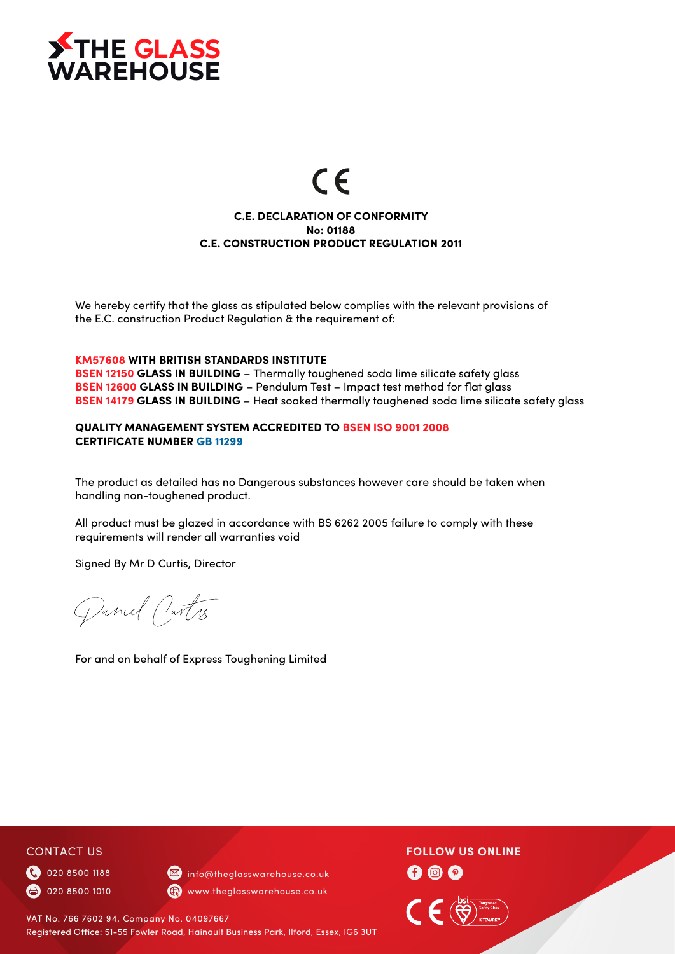

# $\epsilon$

## **C.E. DECLARATION OF CONFORMITY No: 01188 C.E. CONSTRUCTION PRODUCT REGULATION 2011**

We hereby certify that the glass as stipulated below complies with the relevant provisions of the E.C. construction Product Regulation & the requirement of:

#### **KM57608 WITH BRITISH STANDARDS INSTITUTE**

**BSEN 12150 GLASS IN BUILDING** - Thermally toughened soda lime silicate safety glass **BSEN 12600 GLASS IN BUILDING** – Pendulum Test – Impact test method for flat glass **BSEN 14179 GLASS IN BUILDING** – Heat soaked thermally toughened soda lime silicate safety glass

#### **QUALITY MANAGEMENT SYSTEM ACCREDITED TO BSEN ISO 9001 2008 CERTIFICATE NUMBER GB 11299**

The product as detailed has no Dangerous substances however care should be taken when handling non-toughened product.

All product must be glazed in accordance with BS 6262 2005 failure to comply with these requirements will render all warranties void

Signed By Mr D Curtis, Director

Daniel Outris

For and on behalf of Express Toughening Limited